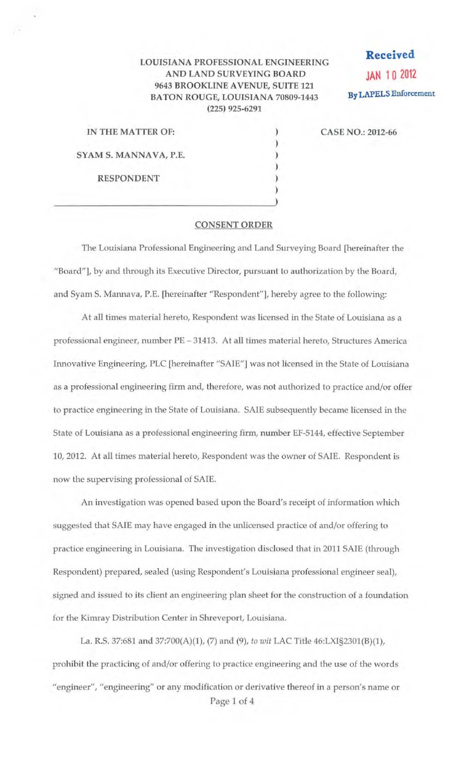## LOUISIANA PROFESSIONAL ENGINEERING AND LAND SURVEYING BOARD 9643 BROOKLINE A VENUE, SUITE 121 BATON ROUGE, LOUISIANA 70809-1443 (225) 925-6291

**Received JAN 1 0 2012**  By LAPELS Enforcement

| IN THE MATTER OF:     |  |
|-----------------------|--|
|                       |  |
| SYAM S. MANNAVA, P.E. |  |
|                       |  |
| <b>RESPONDENT</b>     |  |
|                       |  |
|                       |  |

## CASE NO.: 2012-66

## CONSENT ORDER

The Louisiana Professional Engineering and Land Surveying Board [hereinafter the "Board"], by and through its Executive Director, pursuant to authorization by the Board, and Syam S. Mannava, P.E. [hereinafter "Respondent"], hereby agree to the following:

At all times material hereto, Respondent was licensed in the State of Louisiana as a professional engineer, number PE- 31413. At all times material hereto, Structures America Innovative Engineering, PLC [hereinafter "SAIE"] was not licensed in the State of Louisiana as a professional engineering firm and, therefore, was not authorized to practice and/or offer to practice engineering in the State of Louisiana. SAlE subsequently became licensed in the State of Louisiana as a professional engineering firm, number EF-5144, effective September 10, 2012. At all times material hereto, Respondent was the owner of SAlE. Respondent is now the supervising professional of SAlE.

An investigation was opened based upon the Board's receipt of information which suggested that SAlE may have engaged in the tmlicensed practice of and/or offering to practice engineering in Louisiana. The investigation disclosed that in 2011 SAlE (through Respondent) prepared, sealed (using Respondent's Louisiana professional engineer sea]), signed and issued to its client an engineering plan sheet for the construction of a foundation for the Kimray Distribution Center in Shreveport, Louisiana.

La. R.S. 37:681 and 37:700(A)(l), (7) and (9), *to wit* LAC Title 46:LX1§2301(B)(1), prohibit the practicing of and/or offering to practice engineering and the use of the words "engineer", "engineering" or any modification or derivative thereof in a person's name or Page 1 of 4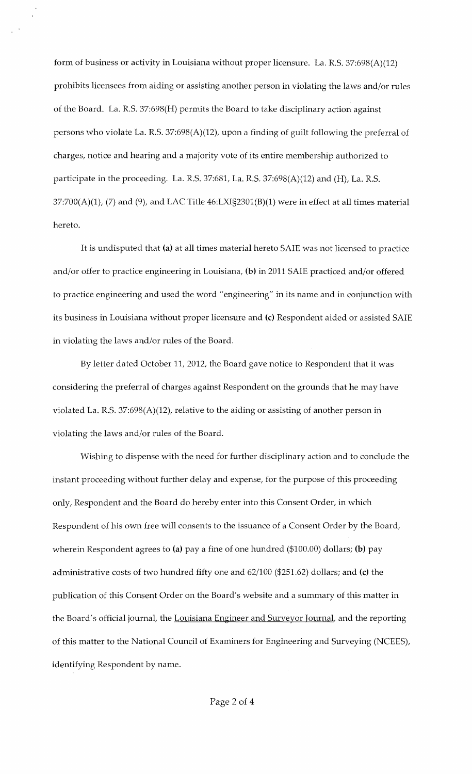form of business or activity in Louisiana without proper licensure. La. R.S. 37:698(A)(12) prohibits licensees from aiding or assisting another person in violating the laws and/or rules of the Board. La. R.S. 37:698(H) permits the Board to take disciplinary action against persons who violate La. R.S. 37:698(A)(12), upon a finding of guilt following the preferral of charges, notice and hearing and a majority vote of its entire membership authorized to participate in the proceeding. La. R.S. 37:681, La. R.S. 37:698(A)(12) and (H), La. R.S.  $37:700(A)(1)$ , (7) and (9), and LAC Title  $46: LXI\$  $32301(B)(1)$  were in effect at all times material hereto.

It is undisputed that (a) at all times material hereto SAlE was not licensed to practice and/or offer to practice engineering in Louisiana, (b) in 2011 SAlE practiced and/or offered to practice engineering and used the word "engineering" in its name and in conjunction with its business in Louisiana without proper licensure and (c) Respondent aided or assisted SAlE in violating the laws and/or rules of the Board.

By letter dated October 11, 2012, the Board gave notice to Respondent that it was considering the preferral of charges against Respondent on the grounds that he may have violated La. R.S. 37:698(A)(12), relative to the aiding or assisting of another person in violating the laws and/or rules of the Board.

Wishing to dispense with the need for further disciplinary action and to conclude the instant proceeding without further delay and expense, for the purpose of this proceeding only, Respondent and the Board do hereby enter into this Consent Order, in which Respondent of his own free will consents to the issuance of a Consent Order by the Board, wherein Respondent agrees to (a) pay a fine of one hundred (\$100.00) dollars; (b) pay administrative costs of two hundred fifty one and 62/100 (\$251.62) dollars; and (c) the publication of this Consent Order on the Board's website and a summary of this matter in the Board's official journal, the Louisiana Engineer and Surveyor Journal, and the reporting of this matter to the National Council of Examiners for Engineering and Surveying (NCEES), identifying Respondent by name.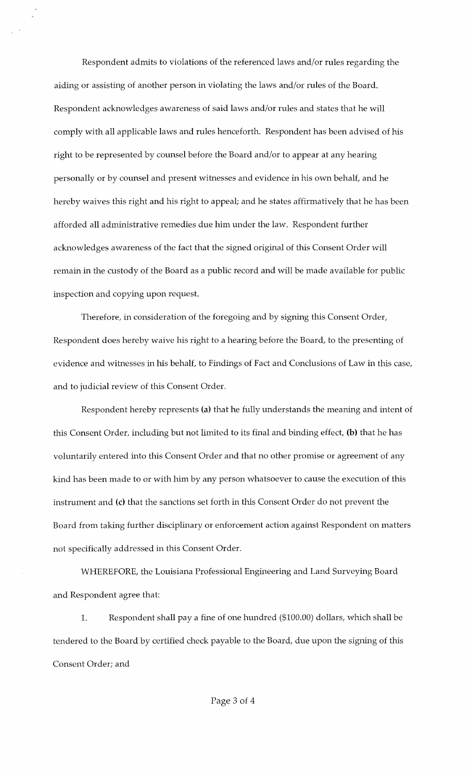Respondent admits to violations of the referenced laws and/or rules regarding the aiding or assisting of another person in violating the laws and/or rules of the Board. Respondent acknowledges awareness of said laws and/or rules and states that he will comply with all applicable laws and rules henceforth. Respondent has been advised of his right to be represented by counsel before the Board and/or to appear at any hearing personally or by counsel and present witnesses and evidence in his own behalf, and he hereby waives this right and his right to appeal; and he states affirmatively that he has been afforded all administrative remedies due him under the law. Respondent further acknowledges awareness of the fact that the signed original of this Consent Order will remain in the custody of the Board as a public record and will be made available for public inspection and copying upon request.

Therefore, in consideration of the foregoing and by signing this Consent Order, Respondent does hereby waive his right to a hearing before the Board, to the presenting of evidence and witnesses in his behalf, to Findings of Fact and Conclusions of Law in this case, and to judicial review of this Consent Order.

Respondent hereby represents (a) that he fully understands the meaning and intent of this Consent Order, including but not limited to its final and binding effect, (b) that he has voluntarily entered into this Consent Order and that no other promise or agreement of any kind has been made to or with him by any person whatsoever to cause the execution of this instrument and (c) that the sanctions set forth in this Consent Order do not prevent the Board from taking further disciplinary or enforcement action against Respondent on matters not specifically addressed in this Consent Order.

WHEREFORE, the Louisiana Professional Engineering and Land Surveying Board and Respondent agree that:

1. Respondent shall pay a fine of one hundred (\$100.00) dollars, which shall be tendered to the Board by certified check payable to the Board, due upon the signing of this Consent Order; and